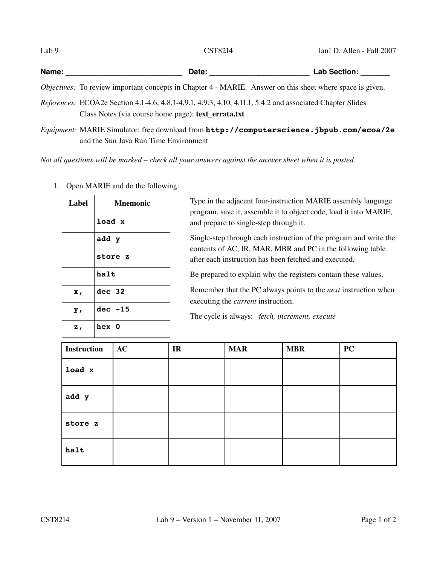| Lab 9 | <b>CST8214</b>                                                                                                                                                          | Ian! D. Allen - Fall 2007 |  |
|-------|-------------------------------------------------------------------------------------------------------------------------------------------------------------------------|---------------------------|--|
| Name: | Date:                                                                                                                                                                   | Lab Section: _____        |  |
|       | <i>Objectives:</i> To review important concepts in Chapter 4 - MARIE. Answer on this sheet where space is given.                                                        |                           |  |
|       | <i>References:</i> ECOA2e Section 4.1-4.6, 4.8.1-4.9.1, 4.9.3, 4.10, 4.11.1, 5.4.2 and associated Chapter Slides<br>Class Notes (via course home page): text errata.txt |                           |  |
|       | $F^{-1}$ . MADIFO! 1, $f = 1$ 1 1 $f = 1$ , $f = 1$ , $f = 1$ , $f = 1$                                                                                                 |                           |  |

*Equipment:* MARIE Simulator: free download from **http://computerscience.jbpub.com/ecoa/2e** and the Sun Java Run Time Environment

*Not all questions will be marked – check all your answers against the answer sheet when it is posted.*

| Label          | <b>Mnemonic</b> |
|----------------|-----------------|
|                | load x          |
|                | add y           |
|                | store z         |
|                | halt            |
| х,             | $dec$ 32        |
| $\mathbf{y}$ , | $dec - 15$      |
| Ζ,             | hex 0           |

1. Open MARIE and do the following:

Type in the adjacent four-instruction MARIE assembly language program, save it, assemble it to object code, load it into MARIE, and prepare to single-step through it.

Single-step through each instruction of the program and write the contents of AC, IR, MAR, MBR and PC in the following table after each instruction has been fetched and executed.

Be prepared to explain why the registers contain these values.

Remember that the PC always points to the *next* instruction when executing the *current* instruction.

The cycle is always: *fetch, increment, execute*

| <b>Instruction</b> | AC | IR | <b>MAR</b> | <b>MBR</b> | <b>PC</b> |
|--------------------|----|----|------------|------------|-----------|
| load x             |    |    |            |            |           |
| add y              |    |    |            |            |           |
| store z            |    |    |            |            |           |
| halt               |    |    |            |            |           |